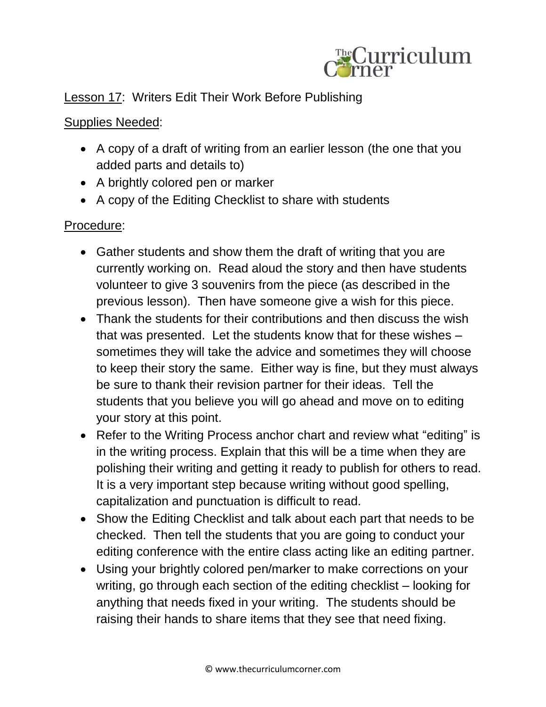

## Lesson 17: Writers Edit Their Work Before Publishing

## Supplies Needed:

- A copy of a draft of writing from an earlier lesson (the one that you added parts and details to)
- A brightly colored pen or marker
- A copy of the Editing Checklist to share with students

## Procedure:

- Gather students and show them the draft of writing that you are currently working on. Read aloud the story and then have students volunteer to give 3 souvenirs from the piece (as described in the previous lesson). Then have someone give a wish for this piece.
- Thank the students for their contributions and then discuss the wish that was presented. Let the students know that for these wishes – sometimes they will take the advice and sometimes they will choose to keep their story the same. Either way is fine, but they must always be sure to thank their revision partner for their ideas. Tell the students that you believe you will go ahead and move on to editing your story at this point.
- Refer to the Writing Process anchor chart and review what "editing" is in the writing process. Explain that this will be a time when they are polishing their writing and getting it ready to publish for others to read. It is a very important step because writing without good spelling, capitalization and punctuation is difficult to read.
- Show the Editing Checklist and talk about each part that needs to be checked. Then tell the students that you are going to conduct your editing conference with the entire class acting like an editing partner.
- Using your brightly colored pen/marker to make corrections on your writing, go through each section of the editing checklist – looking for anything that needs fixed in your writing. The students should be raising their hands to share items that they see that need fixing.